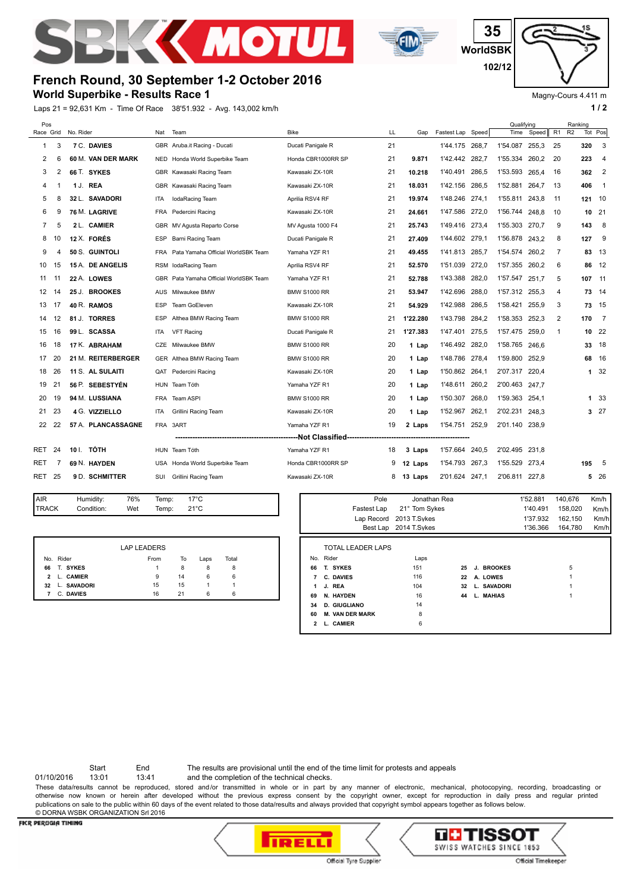



**WorldSBK 35 102/12**

## **French Round, 30 September 1-2 October 2016**

**World Superbike - Results Race 1**

Laps 21 = 92,631 Km - Time Of Race 38'51.932 - Avg. 143,002 km/h **1 and 2 1 and 2 1 a 1 a 1 a 1 a 1 a 1 a 1 a 1 a 1 a 1 a 1 a 1 a 1 a 1 a 1 a 1 a 1 a 1 a 1 a 1 a 1 a 1 a 1 a** 



Magny-Cours 4.411 m

|           | Pos |                 |                    |            |                                        |                                 |    |          |                   |       | Qualifying |       |    | Ranking |                |
|-----------|-----|-----------------|--------------------|------------|----------------------------------------|---------------------------------|----|----------|-------------------|-------|------------|-------|----|---------|----------------|
| Race Grid |     | No. Rider       |                    | Nat        | Team                                   | <b>Bike</b>                     | LL | Gap      | Fastest Lap Speed |       | Time       | Speed | R1 | R2      | Tot Pos        |
| 1         | 3   |                 | 7 C. DAVIES        |            | GBR Aruba.it Racing - Ducati           | Ducati Panigale R               | 21 |          | 1'44.175 268.7    |       | 1'54.087   | 255.3 | 25 | 320     | 3              |
| 2         | 6   |                 | 60 M. VAN DER MARK |            | NED Honda World Superbike Team         | Honda CBR1000RR SP              | 21 | 9.871    | 1'42.442 282.7    |       | 1'55.334   | 260,2 | 20 | 223     | 4              |
| 3         | 2   |                 | 66 T. SYKES        |            | GBR Kawasaki Racing Team               | Kawasaki ZX-10R                 | 21 | 10.218   | 1'40.491          | 286.5 | 1'53.593   | 265,4 | 16 | 362     | $\overline{2}$ |
| 4         | 1   |                 | 1 J. REA           |            | GBR Kawasaki Racing Team               | Kawasaki ZX-10R                 | 21 | 18.031   | 1'42.156 286.5    |       | 1'52.881   | 264,7 | 13 | 406     | $\overline{1}$ |
| 5         | 8   |                 | 32 L. SAVADORI     | ITA        | IodaRacing Team                        | Aprilia RSV4 RF                 | 21 | 19.974   | 1'48.246          | 274,1 | 1'55.811   | 243.8 | 11 |         | 121 10         |
| 6         | 9   |                 | 76 M. LAGRIVE      | <b>FRA</b> | Pedercini Racing                       | Kawasaki ZX-10R                 | 21 | 24.661   | 1'47.586 272.0    |       | 1'56.744   | 248.8 | 10 |         | $10^{21}$      |
| 7         | 5   |                 | 2 L. CAMIER        |            | GBR MV Agusta Reparto Corse            | MV Agusta 1000 F4               | 21 | 25.743   | 1'49.416          | 273.4 | 1'55.303   | 270.7 | 9  | 143     | - 8            |
| 8         | 10  |                 | 12 X. FORÉS        | ESP        | Barni Racing Team                      | Ducati Panigale R               | 21 | 27.409   | 1'44.602 279.1    |       | 1'56.878   | 243.2 | 8  | 127     | 9              |
| 9         | 4   |                 | 50 S. GUINTOLI     |            | FRA Pata Yamaha Official WorldSBK Team | Yamaha YZF R1                   | 21 | 49.455   | 1'41.813 285,7    |       | 1'54.574   | 260.2 | 7  |         | 83 13          |
| 10        | 15  |                 | 15 A. DE ANGELIS   |            | RSM lodaRacing Team                    | Aprilia RSV4 RF                 | 21 | 52.570   | 1'51.039          | 272,0 | 1'57.355   | 260,2 | 6  |         | 86 12          |
| 11        | 11  |                 | 22 A. LOWES        |            | GBR Pata Yamaha Official WorldSBK Team | Yamaha YZF R1                   | 21 | 52.788   | 1'43.388 282,0    |       | 1'57.547   | 251,7 | 5  |         | 107 11         |
| 12        | 14  |                 | 25 J. BROOKES      |            | AUS Milwaukee BMW                      | <b>BMW S1000 RR</b>             | 21 | 53.947   | 1'42.696 288,0    |       | 1'57.312   | 255,3 | 4  |         | 73 14          |
| 13        | 17  |                 | 40 R. RAMOS        | <b>ESP</b> | Team GoEleven                          | Kawasaki ZX-10R                 | 21 | 54.929   | 1'42.988          | 286,5 | 1'58.421   | 255.9 | 3  |         | 73 15          |
| 14        | 12  |                 | 81 J. TORRES       | ESP        | Althea BMW Racing Team                 | <b>BMW S1000 RR</b>             | 21 | 1'22.280 | 1'43.798          | 284.2 | 1'58.353   | 252.3 | 2  | 170     | $\overline{7}$ |
| 15        | 16  |                 | 99 L. SCASSA       | <b>ITA</b> | <b>VFT Racing</b>                      | Ducati Panigale R               | 21 | 1'27.383 | 1'47.401 275.5    |       | 1'57.475   | 259.0 | 1  |         | $10^{22}$      |
| 16        | 18  |                 | 17 K. ABRAHAM      |            | CZE Milwaukee BMW                      | <b>BMW S1000 RR</b>             | 20 | 1 Lap    | 1'46.492 282,0    |       | 1'58.765   | 246.6 |    |         | 33 18          |
| 17        | 20  |                 | 21 M. REITERBERGER |            | GER Althea BMW Racing Team             | <b>BMW S1000 RR</b>             | 20 | 1 Lap    | 1'48.786 278,4    |       | 1'59.800   | 252.9 |    | 68      | - 16           |
| 18        | 26  |                 | 11 S. AL SULAITI   | QAT        | Pedercini Racing                       | Kawasaki ZX-10R                 | 20 | 1 Lap    | 1'50.862          | 264,1 | 2'07.317   | 220.4 |    |         | 132            |
| 19        | 21  |                 | 56 P. SEBESTYÉN    |            | HUN Team Tóth                          | Yamaha YZF R1                   | 20 | 1 Lap    | 1'48.611 260,2    |       | 2'00.463   | 247,7 |    |         |                |
| 20        | 19  |                 | 94 M. LUSSIANA     | <b>FRA</b> | <b>Team ASPI</b>                       | <b>BMW S1000 RR</b>             | 20 | 1 Lap    | 1'50.307          | 268,0 | 1'59.363   | 254.1 |    |         | 1 33           |
| 21        | 23  |                 | 4 G. VIZZIELLO     | ITA        | Grillini Racing Team                   | Kawasaki ZX-10R                 | 20 | 1 Lap    | 1'52.967          | 262,1 | 2'02.231   | 248.3 |    |         | 327            |
| 22        | -22 |                 | 57 A. PLANCASSAGNE |            | FRA 3ART                               | Yamaha YZF R1                   | 19 | 2 Laps   | 1'54.751 252.9    |       | 2'01.140   | 238.9 |    |         |                |
|           |     |                 |                    |            | -------------------------------------  | ---Not Classified-------------- |    |          |                   |       |            |       |    |         |                |
| RET       | 24  | 10 <sup>1</sup> | TÓTH               | HUN        | Team Tóth                              | Yamaha YZF R1                   | 18 | 3 Laps   | 1'57.664          | 240,5 | 2'02.495   | 231.8 |    |         |                |
| RET       | 7   |                 | 69 N. HAYDEN       |            | USA Honda World Superbike Team         | Honda CBR1000RR SP              | 9  | 12 Laps  | 1'54.793 267,3    |       | 1'55.529   | 273.4 |    | 195     | 5              |
| RET       | 25  |                 | 9 D. SCHMITTER     | SUI        | Grillini Racing Team                   | Kawasaki ZX-10R                 | 8  | 13 Laps  | 2'01.624 247,1    |       | 2'06.811   | 227.8 |    |         | 26<br>5        |
|           |     |                 |                    |            |                                        |                                 |    |          |                   |       |            |       |    |         |                |

| <b>AIR</b>   | Humidity:  | 76% | Temp: |
|--------------|------------|-----|-------|
| <b>TRACK</b> | Condition: | Wet | Temp: |

|   |                | LAP LEADERS |    |      |       |  |
|---|----------------|-------------|----|------|-------|--|
|   | No. Rider      | From        | To | Laps | Total |  |
|   | 66 T. SYKES    | 1           | 8  | 8    | 8     |  |
|   | 2 L. CAMIER    | 9           | 14 | 6    | 6     |  |
|   | 32 L. SAVADORI | 15          | 15 |      |       |  |
| 7 | C. DAVIES      | 16          | 21 | 6    | 6     |  |

| AIR   | Humidity:      | 76%                | Temp: |    | $17^{\circ}$ C |       |           | Pole                     |                         | Jonathan Rea |                | 1'52.881 | 140,676 | Km/h |
|-------|----------------|--------------------|-------|----|----------------|-------|-----------|--------------------------|-------------------------|--------------|----------------|----------|---------|------|
| TRACK | Condition:     | Wet                | Temp: |    | $21^{\circ}$ C |       |           | Fastest Lap              | 21° Tom Sykes           |              |                | 1'40.491 | 158,020 | Km/h |
|       |                |                    |       |    |                |       |           |                          | Lap Record 2013 T.Sykes |              |                | 1'37.932 | 162,150 | Km/h |
|       |                |                    |       |    |                |       |           |                          | Best Lap 2014 T.Sykes   |              |                | 1'36.366 | 164.780 | Km/h |
|       |                | <b>LAP LEADERS</b> |       |    |                |       |           | <b>TOTAL LEADER LAPS</b> |                         |              |                |          |         |      |
|       | No. Rider      |                    | From  | To | Laps           | Total | No. Rider |                          | Laps                    |              |                |          |         |      |
|       | 66 T. SYKES    |                    |       | 8  | 8              | 8     |           | 66 T. SYKES              | 151                     |              | 25 J. BROOKES  |          | 5       |      |
|       | 2 L. CAMIER    |                    | 9     | 14 | 6              | 6     |           | 7 C. DAVIES              | 116                     |              | 22 A. LOWES    |          |         |      |
|       | 32 L. SAVADORI |                    | 15    | 15 |                |       | 1 J. REA  |                          | 104                     |              | 32 L. SAVADORI |          |         |      |
|       | 7 C. DAVIES    |                    | 16    | 21 | 6              | 6     |           | 69 N. HAYDEN             | 16                      |              | 44 L. MAHIAS   |          |         |      |
|       |                |                    |       |    |                |       |           | 34 D. GIUGLIANO          | 14                      |              |                |          |         |      |
|       |                |                    |       |    |                |       |           | 60 M. VAN DER MARK       | 8                       |              |                |          |         |      |
|       |                |                    |       |    |                |       |           | 2 L. CAMIER              | 6                       |              |                |          |         |      |
|       |                |                    |       |    |                |       |           |                          |                         |              |                |          |         |      |

Start End The results are provisional until the end of the time limit for protests and appeals

01/10/2016 13:01 13:41 and the completion of the technical checks. These data/results cannot be reproduced, stored and/or transmitted in whole or in part by any manner of electronic, mechanical, photocopying, recording, broadcasting or otherwise now known or herein after developed without the previous express consent by the copyright owner, except for reproduction in daily press and regular printed publications on sale to the public within 60 days of the event related to those data/results and always provided that copyright symbol appears together as follows below. © DORNA WSBK ORGANIZATION Srl 2016

Official Tyre Supplier

## FICR PERUGIA TIMING